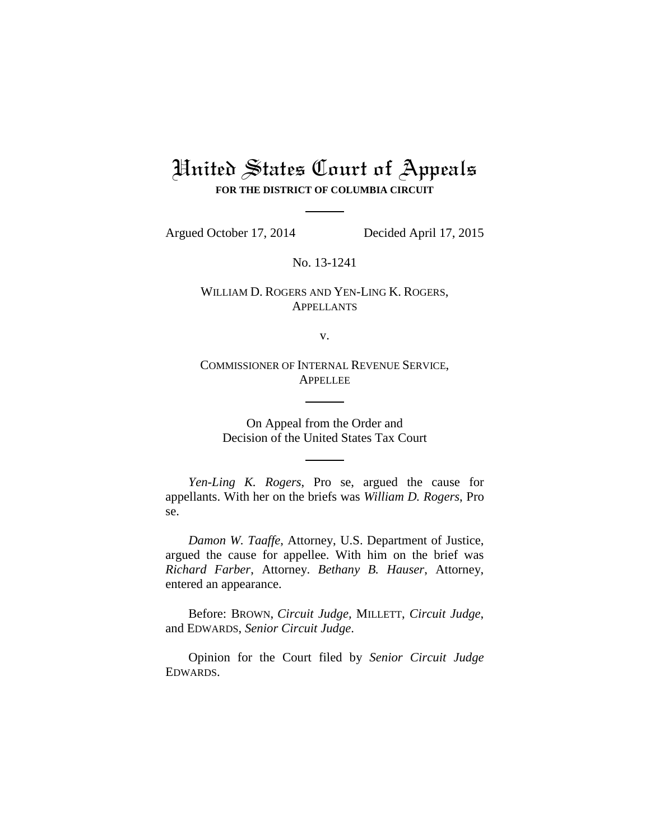# United States Court of Appeals **FOR THE DISTRICT OF COLUMBIA CIRCUIT**

Argued October 17, 2014 Decided April 17, 2015

No. 13-1241

## WILLIAM D. ROGERS AND YEN-LING K. ROGERS, **APPELLANTS**

v.

COMMISSIONER OF INTERNAL REVENUE SERVICE, **APPELLEE** 

On Appeal from the Order and Decision of the United States Tax Court

*Yen-Ling K. Rogers*, Pro se, argued the cause for appellants. With her on the briefs was *William D. Rogers*, Pro se.

*Damon W. Taaffe*, Attorney, U.S. Department of Justice, argued the cause for appellee. With him on the brief was *Richard Farber*, Attorney. *Bethany B. Hauser*, Attorney, entered an appearance.

Before: BROWN, *Circuit Judge,* MILLETT, *Circuit Judge*, and EDWARDS, *Senior Circuit Judge*.

Opinion for the Court filed by *Senior Circuit Judge* EDWARDS.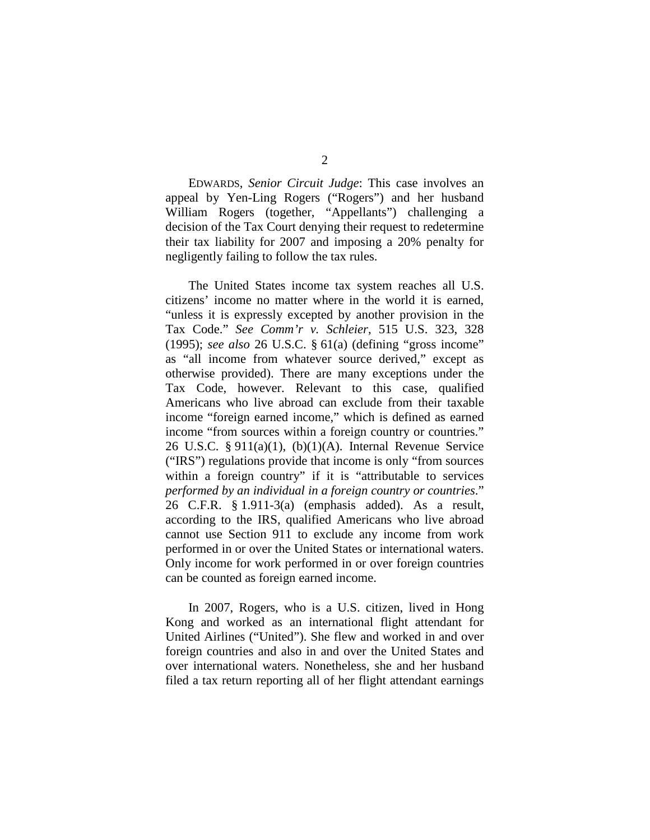EDWARDS, *Senior Circuit Judge*: This case involves an appeal by Yen-Ling Rogers ("Rogers") and her husband William Rogers (together, "Appellants") challenging a decision of the Tax Court denying their request to redetermine their tax liability for 2007 and imposing a 20% penalty for negligently failing to follow the tax rules.

The United States income tax system reaches all U.S. citizens' income no matter where in the world it is earned, "unless it is expressly excepted by another provision in the Tax Code." *See Comm'r v. Schleier*, 515 U.S. 323, 328 (1995); *see also* 26 U.S.C. § 61(a) (defining "gross income" as "all income from whatever source derived," except as otherwise provided). There are many exceptions under the Tax Code, however. Relevant to this case, qualified Americans who live abroad can exclude from their taxable income "foreign earned income," which is defined as earned income "from sources within a foreign country or countries." 26 U.S.C. § 911(a)(1), (b)(1)(A). Internal Revenue Service ("IRS") regulations provide that income is only "from sources within a foreign country" if it is "attributable to services *performed by an individual in a foreign country or countries*." 26 C.F.R. § 1.911-3(a) (emphasis added). As a result, according to the IRS, qualified Americans who live abroad cannot use Section 911 to exclude any income from work performed in or over the United States or international waters. Only income for work performed in or over foreign countries can be counted as foreign earned income.

In 2007, Rogers, who is a U.S. citizen, lived in Hong Kong and worked as an international flight attendant for United Airlines ("United"). She flew and worked in and over foreign countries and also in and over the United States and over international waters. Nonetheless, she and her husband filed a tax return reporting all of her flight attendant earnings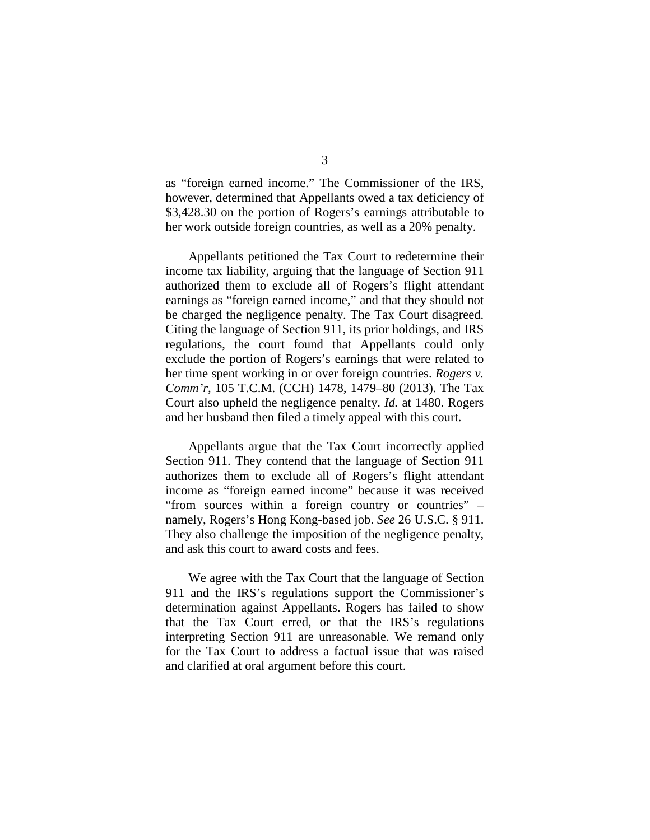as "foreign earned income." The Commissioner of the IRS, however, determined that Appellants owed a tax deficiency of \$3,428.30 on the portion of Rogers's earnings attributable to her work outside foreign countries, as well as a 20% penalty.

Appellants petitioned the Tax Court to redetermine their income tax liability, arguing that the language of Section 911 authorized them to exclude all of Rogers's flight attendant earnings as "foreign earned income," and that they should not be charged the negligence penalty. The Tax Court disagreed. Citing the language of Section 911, its prior holdings, and IRS regulations, the court found that Appellants could only exclude the portion of Rogers's earnings that were related to her time spent working in or over foreign countries. *Rogers v. Comm'r*, 105 T.C.M. (CCH) 1478, 1479–80 (2013). The Tax Court also upheld the negligence penalty. *Id.* at 1480. Rogers and her husband then filed a timely appeal with this court.

Appellants argue that the Tax Court incorrectly applied Section 911. They contend that the language of Section 911 authorizes them to exclude all of Rogers's flight attendant income as "foreign earned income" because it was received "from sources within a foreign country or countries" – namely, Rogers's Hong Kong-based job. *See* 26 U.S.C. § 911. They also challenge the imposition of the negligence penalty, and ask this court to award costs and fees.

We agree with the Tax Court that the language of Section 911 and the IRS's regulations support the Commissioner's determination against Appellants. Rogers has failed to show that the Tax Court erred, or that the IRS's regulations interpreting Section 911 are unreasonable. We remand only for the Tax Court to address a factual issue that was raised and clarified at oral argument before this court.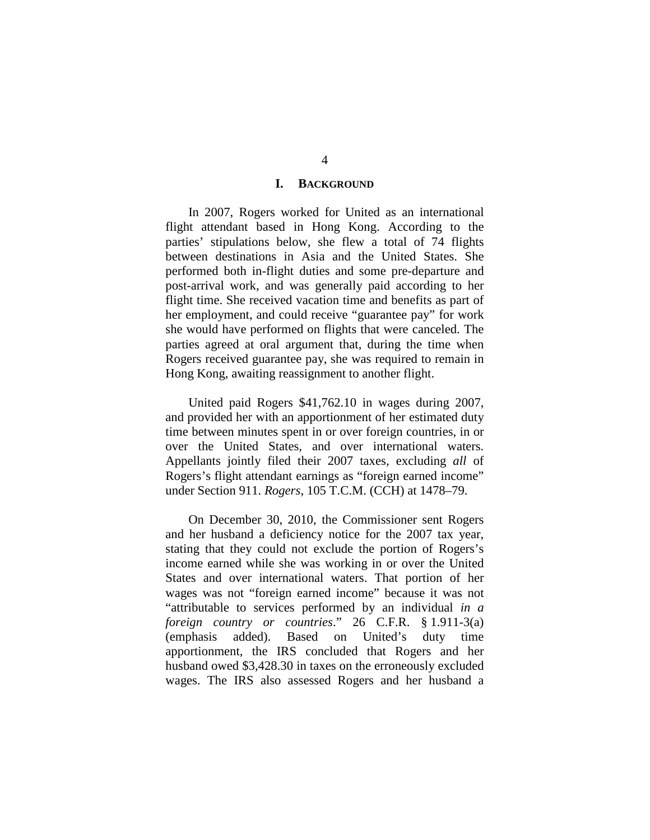#### **I. BACKGROUND**

In 2007, Rogers worked for United as an international flight attendant based in Hong Kong. According to the parties' stipulations below, she flew a total of 74 flights between destinations in Asia and the United States. She performed both in-flight duties and some pre-departure and post-arrival work, and was generally paid according to her flight time. She received vacation time and benefits as part of her employment, and could receive "guarantee pay" for work she would have performed on flights that were canceled. The parties agreed at oral argument that, during the time when Rogers received guarantee pay, she was required to remain in Hong Kong, awaiting reassignment to another flight.

United paid Rogers \$41,762.10 in wages during 2007, and provided her with an apportionment of her estimated duty time between minutes spent in or over foreign countries, in or over the United States, and over international waters. Appellants jointly filed their 2007 taxes, excluding *all* of Rogers's flight attendant earnings as "foreign earned income" under Section 911. *Rogers*, 105 T.C.M. (CCH) at 1478–79.

On December 30, 2010, the Commissioner sent Rogers and her husband a deficiency notice for the 2007 tax year, stating that they could not exclude the portion of Rogers's income earned while she was working in or over the United States and over international waters. That portion of her wages was not "foreign earned income" because it was not "attributable to services performed by an individual *in a foreign country or countries*." 26 C.F.R. § 1.911-3(a) (emphasis added). Based on United's duty time apportionment, the IRS concluded that Rogers and her husband owed \$3,428.30 in taxes on the erroneously excluded wages. The IRS also assessed Rogers and her husband a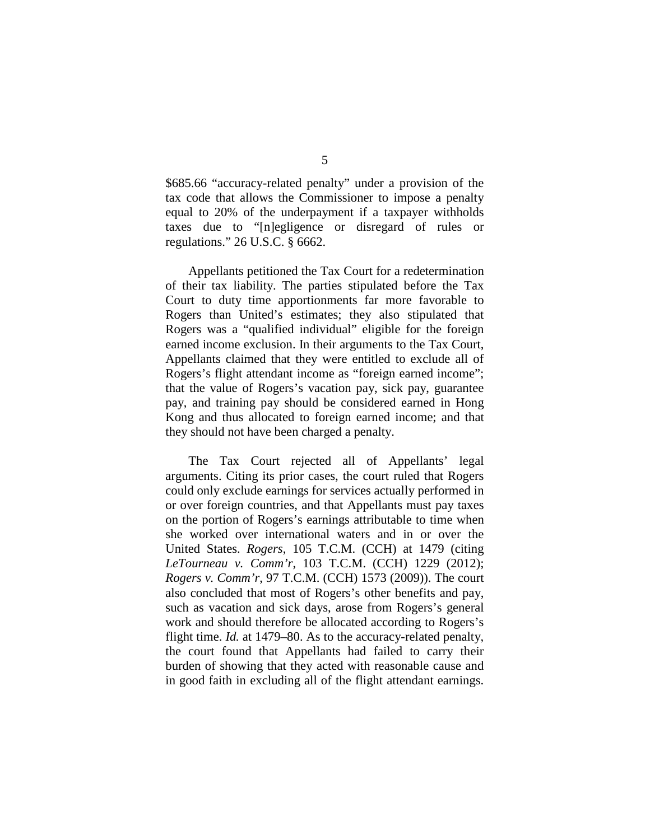\$685.66 "accuracy-related penalty" under a provision of the tax code that allows the Commissioner to impose a penalty equal to 20% of the underpayment if a taxpayer withholds taxes due to "[n]egligence or disregard of rules or regulations." 26 U.S.C. § 6662.

Appellants petitioned the Tax Court for a redetermination of their tax liability. The parties stipulated before the Tax Court to duty time apportionments far more favorable to Rogers than United's estimates; they also stipulated that Rogers was a "qualified individual" eligible for the foreign earned income exclusion. In their arguments to the Tax Court, Appellants claimed that they were entitled to exclude all of Rogers's flight attendant income as "foreign earned income"; that the value of Rogers's vacation pay, sick pay, guarantee pay, and training pay should be considered earned in Hong Kong and thus allocated to foreign earned income; and that they should not have been charged a penalty.

The Tax Court rejected all of Appellants' legal arguments. Citing its prior cases, the court ruled that Rogers could only exclude earnings for services actually performed in or over foreign countries, and that Appellants must pay taxes on the portion of Rogers's earnings attributable to time when she worked over international waters and in or over the United States. *Rogers*, 105 T.C.M. (CCH) at 1479 (citing *LeTourneau v. Comm'r*, 103 T.C.M. (CCH) 1229 (2012); *Rogers v. Comm'r*, 97 T.C.M. (CCH) 1573 (2009)). The court also concluded that most of Rogers's other benefits and pay, such as vacation and sick days, arose from Rogers's general work and should therefore be allocated according to Rogers's flight time. *Id.* at 1479–80. As to the accuracy-related penalty, the court found that Appellants had failed to carry their burden of showing that they acted with reasonable cause and in good faith in excluding all of the flight attendant earnings.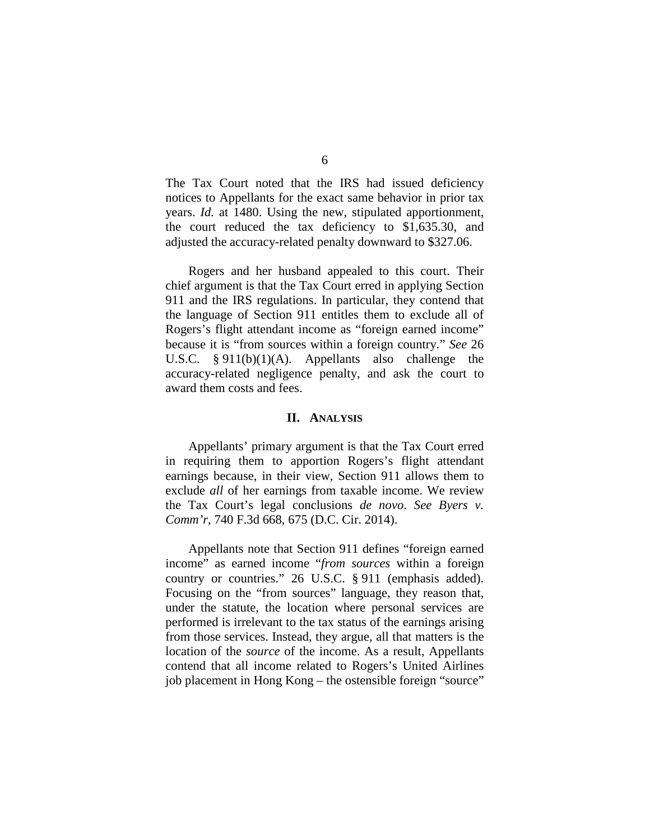The Tax Court noted that the IRS had issued deficiency notices to Appellants for the exact same behavior in prior tax years. *Id.* at 1480. Using the new, stipulated apportionment, the court reduced the tax deficiency to \$1,635.30, and adjusted the accuracy-related penalty downward to \$327.06.

Rogers and her husband appealed to this court. Their chief argument is that the Tax Court erred in applying Section 911 and the IRS regulations. In particular, they contend that the language of Section 911 entitles them to exclude all of Rogers's flight attendant income as "foreign earned income" because it is "from sources within a foreign country." *See* 26 U.S.C. § 911(b)(1)(A). Appellants also challenge the accuracy-related negligence penalty, and ask the court to award them costs and fees.

#### **II. ANALYSIS**

Appellants' primary argument is that the Tax Court erred in requiring them to apportion Rogers's flight attendant earnings because, in their view, Section 911 allows them to exclude *all* of her earnings from taxable income. We review the Tax Court's legal conclusions *de novo*. *See Byers v. Comm'r*, 740 F.3d 668, 675 (D.C. Cir. 2014).

Appellants note that Section 911 defines "foreign earned income" as earned income "*from sources* within a foreign country or countries." 26 U.S.C. § 911 (emphasis added). Focusing on the "from sources" language, they reason that, under the statute, the location where personal services are performed is irrelevant to the tax status of the earnings arising from those services. Instead, they argue, all that matters is the location of the *source* of the income. As a result, Appellants contend that all income related to Rogers's United Airlines job placement in Hong Kong – the ostensible foreign "source"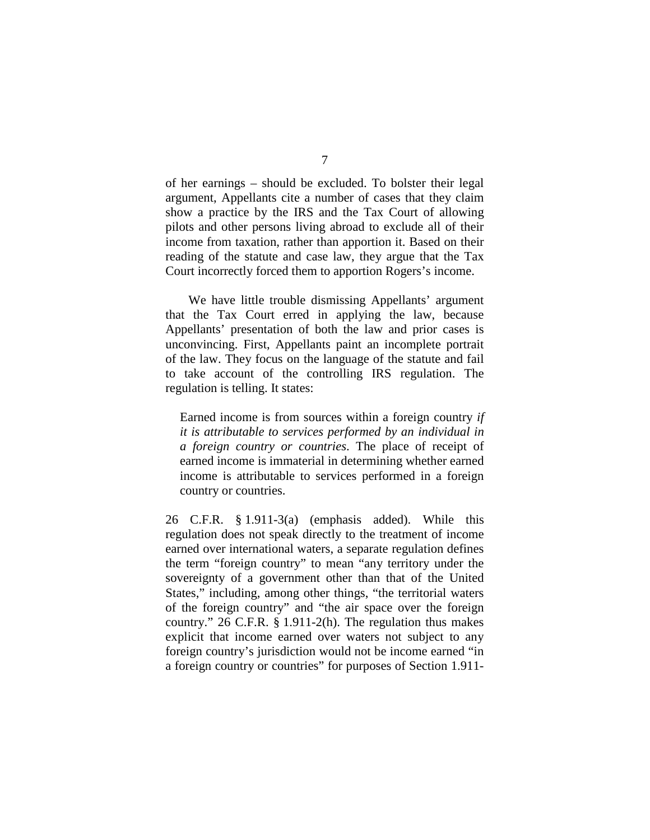of her earnings – should be excluded. To bolster their legal argument, Appellants cite a number of cases that they claim show a practice by the IRS and the Tax Court of allowing pilots and other persons living abroad to exclude all of their income from taxation, rather than apportion it. Based on their reading of the statute and case law, they argue that the Tax Court incorrectly forced them to apportion Rogers's income.

We have little trouble dismissing Appellants' argument that the Tax Court erred in applying the law, because Appellants' presentation of both the law and prior cases is unconvincing. First, Appellants paint an incomplete portrait of the law. They focus on the language of the statute and fail to take account of the controlling IRS regulation. The regulation is telling. It states:

Earned income is from sources within a foreign country *if it is attributable to services performed by an individual in a foreign country or countries*. The place of receipt of earned income is immaterial in determining whether earned income is attributable to services performed in a foreign country or countries.

26 C.F.R. § 1.911-3(a) (emphasis added). While this regulation does not speak directly to the treatment of income earned over international waters, a separate regulation defines the term "foreign country" to mean "any territory under the sovereignty of a government other than that of the United States," including, among other things, "the territorial waters of the foreign country" and "the air space over the foreign country." 26 C.F.R. § 1.911-2(h). The regulation thus makes explicit that income earned over waters not subject to any foreign country's jurisdiction would not be income earned "in a foreign country or countries" for purposes of Section 1.911-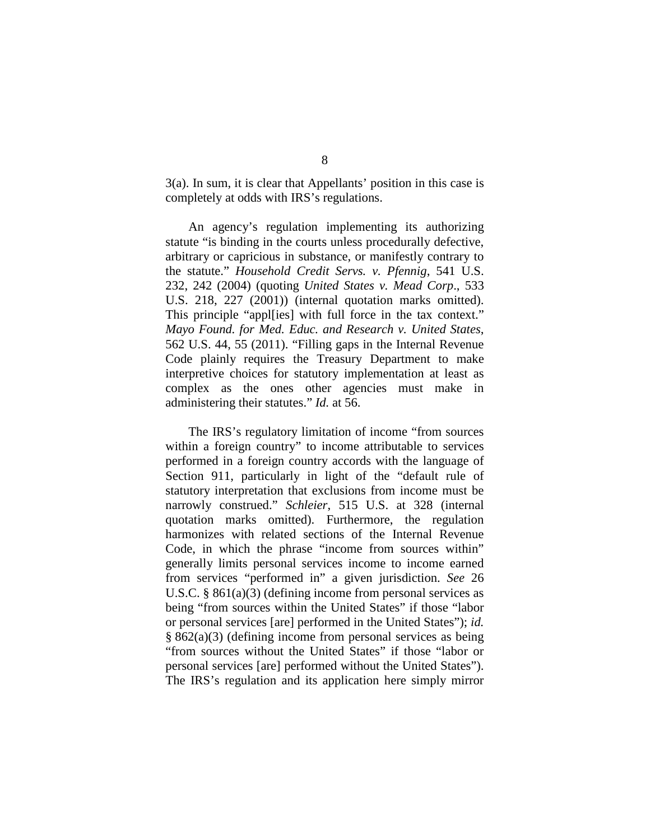3(a). In sum, it is clear that Appellants' position in this case is completely at odds with IRS's regulations.

An agency's regulation implementing its authorizing statute "is binding in the courts unless procedurally defective, arbitrary or capricious in substance, or manifestly contrary to the statute." *Household Credit Servs. v. Pfennig*, 541 U.S. 232, 242 (2004) (quoting *United States v. Mead Corp*., 533 U.S. 218, 227 (2001)) (internal quotation marks omitted). This principle "appl[ies] with full force in the tax context." *Mayo Found. for Med. Educ. and Research v. United States*, 562 U.S. 44, 55 (2011). "Filling gaps in the Internal Revenue Code plainly requires the Treasury Department to make interpretive choices for statutory implementation at least as complex as the ones other agencies must make in administering their statutes." *Id.* at 56.

The IRS's regulatory limitation of income "from sources within a foreign country" to income attributable to services performed in a foreign country accords with the language of Section 911, particularly in light of the "default rule of statutory interpretation that exclusions from income must be narrowly construed." *Schleier*, 515 U.S. at 328 (internal quotation marks omitted). Furthermore, the regulation harmonizes with related sections of the Internal Revenue Code, in which the phrase "income from sources within" generally limits personal services income to income earned from services "performed in" a given jurisdiction. *See* 26 U.S.C. § 861(a)(3) (defining income from personal services as being "from sources within the United States" if those "labor or personal services [are] performed in the United States"); *id.* § 862(a)(3) (defining income from personal services as being "from sources without the United States" if those "labor or personal services [are] performed without the United States"). The IRS's regulation and its application here simply mirror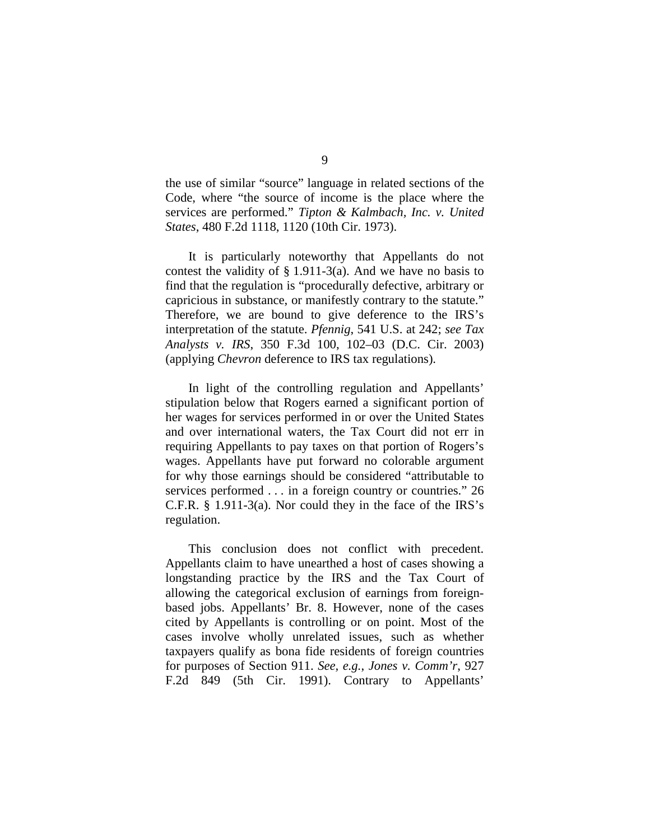the use of similar "source" language in related sections of the Code, where "the source of income is the place where the services are performed." *Tipton & Kalmbach, Inc. v. United States*, 480 F.2d 1118, 1120 (10th Cir. 1973).

It is particularly noteworthy that Appellants do not contest the validity of  $\S 1.911-3(a)$ . And we have no basis to find that the regulation is "procedurally defective, arbitrary or capricious in substance, or manifestly contrary to the statute." Therefore, we are bound to give deference to the IRS's interpretation of the statute. *Pfennig*, 541 U.S. at 242; *see Tax Analysts v. IRS*, 350 F.3d 100, 102–03 (D.C. Cir. 2003) (applying *Chevron* deference to IRS tax regulations).

In light of the controlling regulation and Appellants' stipulation below that Rogers earned a significant portion of her wages for services performed in or over the United States and over international waters, the Tax Court did not err in requiring Appellants to pay taxes on that portion of Rogers's wages. Appellants have put forward no colorable argument for why those earnings should be considered "attributable to services performed . . . in a foreign country or countries." 26 C.F.R. § 1.911-3(a). Nor could they in the face of the IRS's regulation.

This conclusion does not conflict with precedent. Appellants claim to have unearthed a host of cases showing a longstanding practice by the IRS and the Tax Court of allowing the categorical exclusion of earnings from foreignbased jobs. Appellants' Br. 8. However, none of the cases cited by Appellants is controlling or on point. Most of the cases involve wholly unrelated issues, such as whether taxpayers qualify as bona fide residents of foreign countries for purposes of Section 911. *See, e.g.*, *Jones v. Comm'r*, 927 F.2d 849 (5th Cir. 1991). Contrary to Appellants'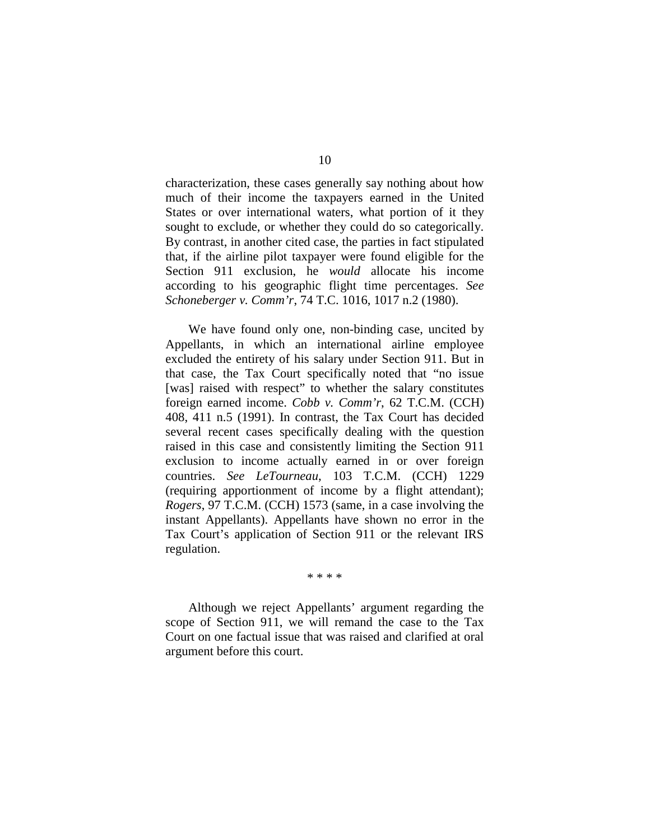characterization, these cases generally say nothing about how much of their income the taxpayers earned in the United States or over international waters, what portion of it they sought to exclude, or whether they could do so categorically. By contrast, in another cited case, the parties in fact stipulated that, if the airline pilot taxpayer were found eligible for the Section 911 exclusion, he *would* allocate his income according to his geographic flight time percentages. *See Schoneberger v. Comm'r*, 74 T.C. 1016, 1017 n.2 (1980).

We have found only one, non-binding case, uncited by Appellants, in which an international airline employee excluded the entirety of his salary under Section 911. But in that case, the Tax Court specifically noted that "no issue [was] raised with respect" to whether the salary constitutes foreign earned income. *Cobb v. Comm'r*, 62 T.C.M. (CCH) 408, 411 n.5 (1991). In contrast, the Tax Court has decided several recent cases specifically dealing with the question raised in this case and consistently limiting the Section 911 exclusion to income actually earned in or over foreign countries. *See LeTourneau*, 103 T.C.M. (CCH) 1229 (requiring apportionment of income by a flight attendant); *Rogers*, 97 T.C.M. (CCH) 1573 (same, in a case involving the instant Appellants). Appellants have shown no error in the Tax Court's application of Section 911 or the relevant IRS regulation.

\* \* \* \*

Although we reject Appellants' argument regarding the scope of Section 911, we will remand the case to the Tax Court on one factual issue that was raised and clarified at oral argument before this court.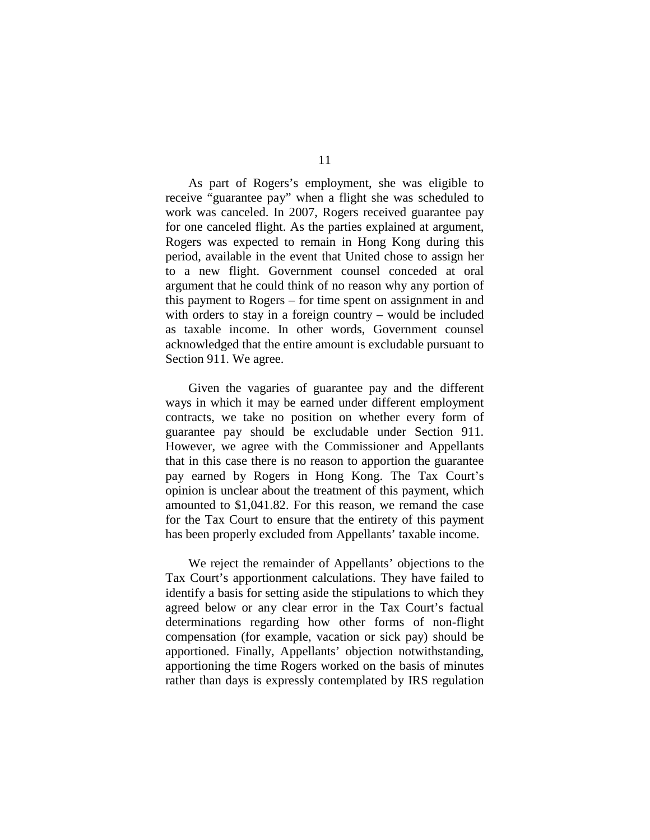As part of Rogers's employment, she was eligible to receive "guarantee pay" when a flight she was scheduled to work was canceled. In 2007, Rogers received guarantee pay for one canceled flight. As the parties explained at argument, Rogers was expected to remain in Hong Kong during this period, available in the event that United chose to assign her to a new flight. Government counsel conceded at oral argument that he could think of no reason why any portion of this payment to Rogers – for time spent on assignment in and with orders to stay in a foreign country – would be included as taxable income. In other words, Government counsel acknowledged that the entire amount is excludable pursuant to Section 911. We agree.

Given the vagaries of guarantee pay and the different ways in which it may be earned under different employment contracts, we take no position on whether every form of guarantee pay should be excludable under Section 911. However, we agree with the Commissioner and Appellants that in this case there is no reason to apportion the guarantee pay earned by Rogers in Hong Kong. The Tax Court's opinion is unclear about the treatment of this payment, which amounted to \$1,041.82. For this reason, we remand the case for the Tax Court to ensure that the entirety of this payment has been properly excluded from Appellants' taxable income.

We reject the remainder of Appellants' objections to the Tax Court's apportionment calculations. They have failed to identify a basis for setting aside the stipulations to which they agreed below or any clear error in the Tax Court's factual determinations regarding how other forms of non-flight compensation (for example, vacation or sick pay) should be apportioned. Finally, Appellants' objection notwithstanding, apportioning the time Rogers worked on the basis of minutes rather than days is expressly contemplated by IRS regulation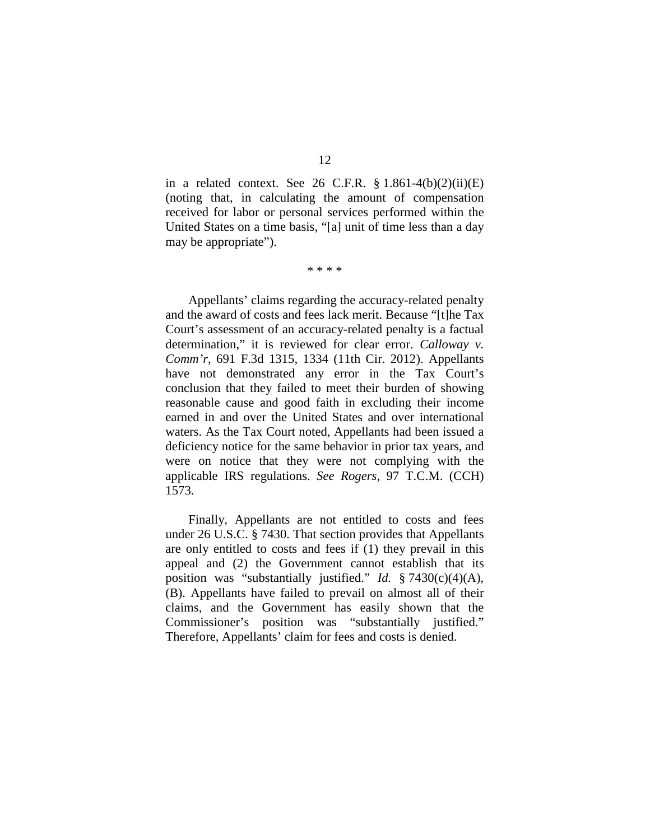in a related context. See 26 C.F.R.  $\S 1.861-4(b)(2)(ii)(E)$ (noting that, in calculating the amount of compensation received for labor or personal services performed within the United States on a time basis, "[a] unit of time less than a day may be appropriate").

\* \* \* \*

Appellants' claims regarding the accuracy-related penalty and the award of costs and fees lack merit. Because "[t]he Tax Court's assessment of an accuracy-related penalty is a factual determination," it is reviewed for clear error. *Calloway v. Comm'r*, 691 F.3d 1315, 1334 (11th Cir. 2012). Appellants have not demonstrated any error in the Tax Court's conclusion that they failed to meet their burden of showing reasonable cause and good faith in excluding their income earned in and over the United States and over international waters. As the Tax Court noted, Appellants had been issued a deficiency notice for the same behavior in prior tax years, and were on notice that they were not complying with the applicable IRS regulations. *See Rogers*, 97 T.C.M. (CCH) 1573.

Finally, Appellants are not entitled to costs and fees under 26 U.S.C. § 7430. That section provides that Appellants are only entitled to costs and fees if (1) they prevail in this appeal and (2) the Government cannot establish that its position was "substantially justified." *Id.* § 7430(c)(4)(A), (B). Appellants have failed to prevail on almost all of their claims, and the Government has easily shown that the Commissioner's position was "substantially justified." Therefore, Appellants' claim for fees and costs is denied.